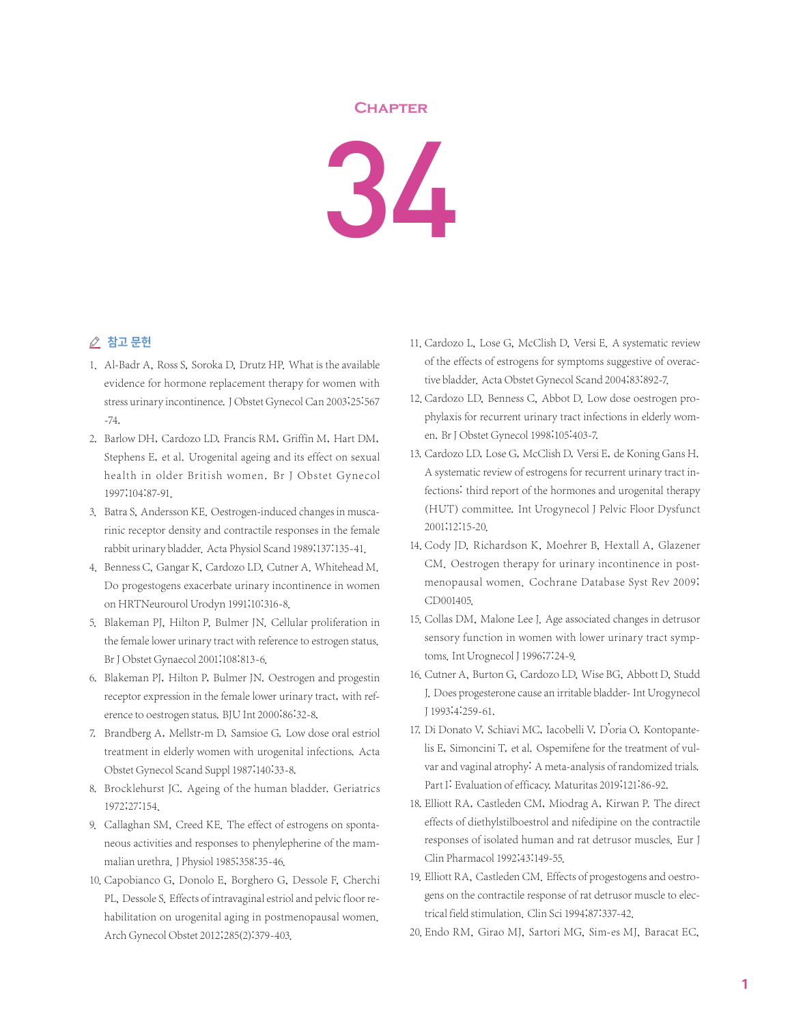## **Chapter**



## △ 참고 문헌

- 1. Al-Badr A, Ross S, Soroka D, Drutz HP. What is the available evidence for hormone replacement therapy for women with stress urinary incontinence. J Obstet Gynecol Can 2003;25:567 -74.
- 2. Barlow DH, Cardozo LD, Francis RM, Griffin M, Hart DM, Stephens E, et al. Urogenital ageing and its effect on sexual health in older British women. Br J Obstet Gynecol 1997;104:87-91.
- 3. Batra S, Andersson KE. Oestrogen-induced changes in muscarinic receptor density and contractile responses in the female rabbit urinary bladder. Acta Physiol Scand 1989;137:135-41.
- 4. Benness C, Gangar K, Cardozo LD, Cutner A. Whitehead M. Do progestogens exacerbate urinary incontinence in women on HRTNeurourol Urodyn 1991;10:316-8.
- 5. Blakeman PJ, Hilton P, Bulmer JN. Cellular proliferation in the female lower urinary tract with reference to estrogen status. Br J Obstet Gynaecol 2001;108:813-6.
- 6. Blakeman PJ, Hilton P, Bulmer JN. Oestrogen and progestin receptor expression in the female lower urinary tract, with reference to oestrogen status. BJU Int 2000;86:32-8.
- 7. Brandberg A, Mellstr-m D, Samsioe G. Low dose oral estriol treatment in elderly women with urogenital infections. Acta Obstet Gynecol Scand Suppl 1987;140:33-8.
- 8. Brocklehurst JC. Ageing of the human bladder. Geriatrics 1972;27:154.
- 9. Callaghan SM, Creed KE. The effect of estrogens on spontaneous activities and responses to phenylepherine of the mammalian urethra. J Physiol 1985;358:35-46.
- 10. Capobianco G, Donolo E, Borghero G, Dessole F, Cherchi PL, Dessole S. Effects of intravaginal estriol and pelvic floor rehabilitation on urogenital aging in postmenopausal women. Arch Gynecol Obstet 2012;285(2):379-403.
- 11. Cardozo L, Lose G, McClish D, Versi E. A systematic review of the effects of estrogens for symptoms suggestive of overactive bladder. Acta Obstet Gynecol Scand 2004;83:892-7.
- 12. Cardozo LD, Benness C, Abbot D. Low dose oestrogen prophylaxis for recurrent urinary tract infections in elderly women. Br J Obstet Gynecol 1998;105:403-7.
- 13. Cardozo LD, Lose G, McClish D, Versi E, de Koning Gans H. A systematic review of estrogens for recurrent urinary tract infections: third report of the hormones and urogenital therapy (HUT) committee. Int Urogynecol J Pelvic Floor Dysfunct 2001;12:15-20.
- 14. Cody JD, Richardson K, Moehrer B, Hextall A, Glazener CM. Oestrogen therapy for urinary incontinence in postmenopausal women. Cochrane Database Syst Rev 2009; CD001405.
- 15. Collas DM, Malone Lee J. Age associated changes in detrusor sensory function in women with lower urinary tract symptoms.Int Urognecol J 1996;7:24-9.
- 16. Cutner A, Burton G, Cardozo LD, Wise BG, Abbott D, Studd J. Does progesterone cause an irritable bladder-Int Urogynecol J 1993;4:259-61.
- 17. Di Donato V, Schiavi MC, Iacobelli V, D'oria O, Kontopantelis E, Simoncini T, et al. Ospemifene for the treatment of vulvar and vaginal atrophy: A meta-analysis of randomized trials. Part I: Evaluation of efficacy. Maturitas 2019;121:86-92.
- 18. Elliott RA, Castleden CM, Miodrag A, Kirwan P. The direct effects of diethylstilboestrol and nifedipine on the contractile responses of isolated human and rat detrusor muscles. Eur J Clin Pharmacol 1992;43:149-55.
- 19. Elliott RA, Castleden CM. Effects of progestogens and oestrogens on the contractile response of rat detrusor muscle to electrical field stimulation. Clin Sci 1994;87:337-42.
- 20. Endo RM, Girao MJ, Sartori MG, Sim-es MJ, Baracat EC,